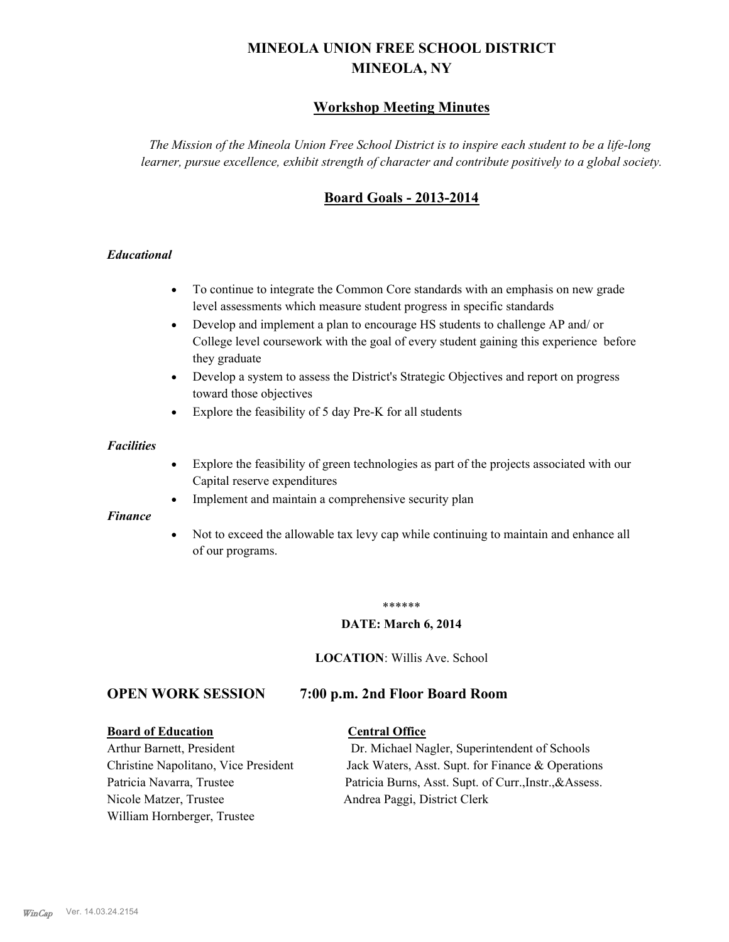# **MINEOLA UNION FREE SCHOOL DISTRICT MINEOLA, NY**

# **Workshop Meeting Minutes**

*The Mission of the Mineola Union Free School District is to inspire each student to be a life-long learner, pursue excellence, exhibit strength of character and contribute positively to a global society.*

# **Board Goals - 2013-2014**

## *Educational*

- · To continue to integrate the Common Core standards with an emphasis on new grade level assessments which measure student progress in specific standards
- · Develop and implement a plan to encourage HS students to challenge AP and/ or College level coursework with the goal of every student gaining this experience before they graduate
- Develop a system to assess the District's Strategic Objectives and report on progress toward those objectives
- · Explore the feasibility of 5 day Pre-K for all students

#### *Facilities*

- · Explore the feasibility of green technologies as part of the projects associated with our Capital reserve expenditures
- Implement and maintain a comprehensive security plan

#### *Finance*

• Not to exceed the allowable tax levy cap while continuing to maintain and enhance all of our programs.

#### \*\*\*\*\*\*

#### **DATE: March 6, 2014**

**LOCATION**: Willis Ave. School

# **OPEN WORK SESSION 7:00 p.m. 2nd Floor Board Room**

#### **Board of Education Central Office**

Nicole Matzer, Trustee Andrea Paggi, District Clerk William Hornberger, Trustee

Arthur Barnett, President Dr. Michael Nagler, Superintendent of Schools Christine Napolitano, Vice President Jack Waters, Asst. Supt. for Finance & Operations Patricia Navarra, Trustee Patricia Burns, Asst. Supt. of Curr., Instr., &Assess.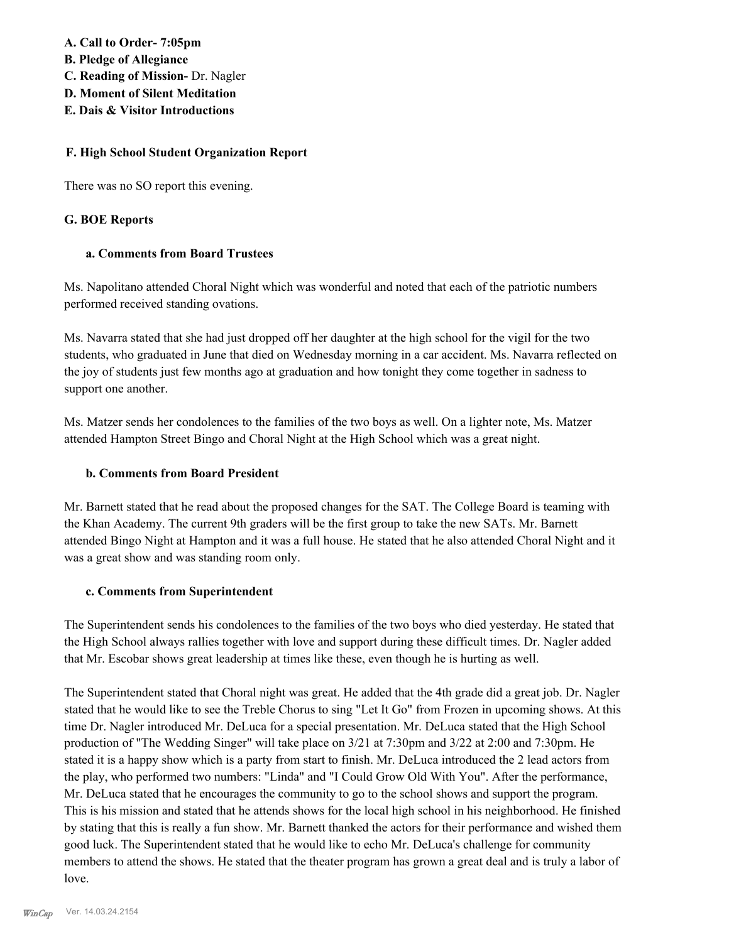**A. Call to Order- 7:05pm**

- **B. Pledge of Allegiance**
- **C. Reading of Mission-** Dr. Nagler
- **D. Moment of Silent Meditation**
- **E. Dais & Visitor Introductions**

## **F. High School Student Organization Report**

There was no SO report this evening.

## **G. BOE Reports**

## **a. Comments from Board Trustees**

Ms. Napolitano attended Choral Night which was wonderful and noted that each of the patriotic numbers performed received standing ovations.

Ms. Navarra stated that she had just dropped off her daughter at the high school for the vigil for the two students, who graduated in June that died on Wednesday morning in a car accident. Ms. Navarra reflected on the joy of students just few months ago at graduation and how tonight they come together in sadness to support one another.

Ms. Matzer sends her condolences to the families of the two boys as well. On a lighter note, Ms. Matzer attended Hampton Street Bingo and Choral Night at the High School which was a great night.

## **b. Comments from Board President**

Mr. Barnett stated that he read about the proposed changes for the SAT. The College Board is teaming with the Khan Academy. The current 9th graders will be the first group to take the new SATs. Mr. Barnett attended Bingo Night at Hampton and it was a full house. He stated that he also attended Choral Night and it was a great show and was standing room only.

## **c. Comments from Superintendent**

The Superintendent sends his condolences to the families of the two boys who died yesterday. He stated that the High School always rallies together with love and support during these difficult times. Dr. Nagler added that Mr. Escobar shows great leadership at times like these, even though he is hurting as well.

The Superintendent stated that Choral night was great. He added that the 4th grade did a great job. Dr. Nagler stated that he would like to see the Treble Chorus to sing "Let It Go" from Frozen in upcoming shows. At this time Dr. Nagler introduced Mr. DeLuca for a special presentation. Mr. DeLuca stated that the High School production of "The Wedding Singer" will take place on 3/21 at 7:30pm and 3/22 at 2:00 and 7:30pm. He stated it is a happy show which is a party from start to finish. Mr. DeLuca introduced the 2 lead actors from the play, who performed two numbers: "Linda" and "I Could Grow Old With You". After the performance, Mr. DeLuca stated that he encourages the community to go to the school shows and support the program. This is his mission and stated that he attends shows for the local high school in his neighborhood. He finished by stating that this is really a fun show. Mr. Barnett thanked the actors for their performance and wished them good luck. The Superintendent stated that he would like to echo Mr. DeLuca's challenge for community members to attend the shows. He stated that the theater program has grown a great deal and is truly a labor of love.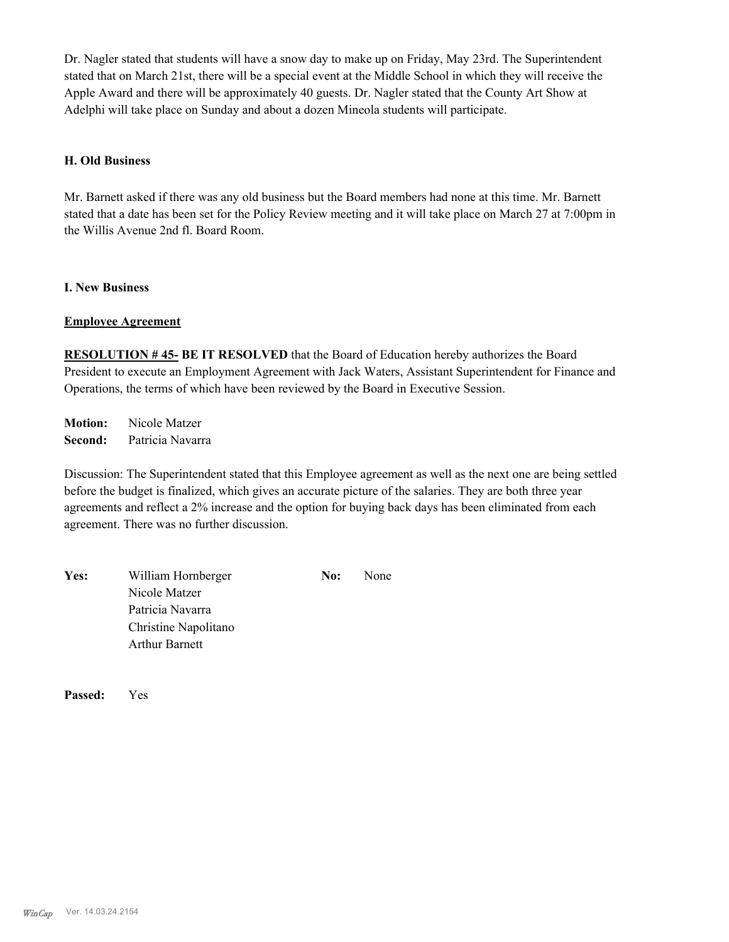Dr. Nagler stated that students will have a snow day to make up on Friday, May 23rd. The Superintendent stated that on March 21st, there will be a special event at the Middle School in which they will receive the Apple Award and there will be approximately 40 guests. Dr. Nagler stated that the County Art Show at Adelphi will take place on Sunday and about a dozen Mineola students will participate.

#### **H. Old Business**

Mr. Barnett asked if there was any old business but the Board members had none at this time. Mr. Barnett stated that a date has been set for the Policy Review meeting and it will take place on March 27 at 7:00pm in the Willis Avenue 2nd fl. Board Room.

#### **I. New Business**

#### **Employee Agreement**

**RESOLUTION # 45- BE IT RESOLVED** that the Board of Education hereby authorizes the Board President to execute an Employment Agreement with Jack Waters, Assistant Superintendent for Finance and Operations, the terms of which have been reviewed by the Board in Executive Session.

**Motion:** Nicole Matzer **Second:** Patricia Navarra

Discussion: The Superintendent stated that this Employee agreement as well as the next one are being settled before the budget is finalized, which gives an accurate picture of the salaries. They are both three year agreements and reflect a 2% increase and the option for buying back days has been eliminated from each agreement. There was no further discussion.

| <b>Yes:</b> | William Hornberger    | No: | None |
|-------------|-----------------------|-----|------|
|             | Nicole Matzer         |     |      |
|             | Patricia Navarra      |     |      |
|             | Christine Napolitano  |     |      |
|             | <b>Arthur Barnett</b> |     |      |
|             |                       |     |      |

**Passed:** Yes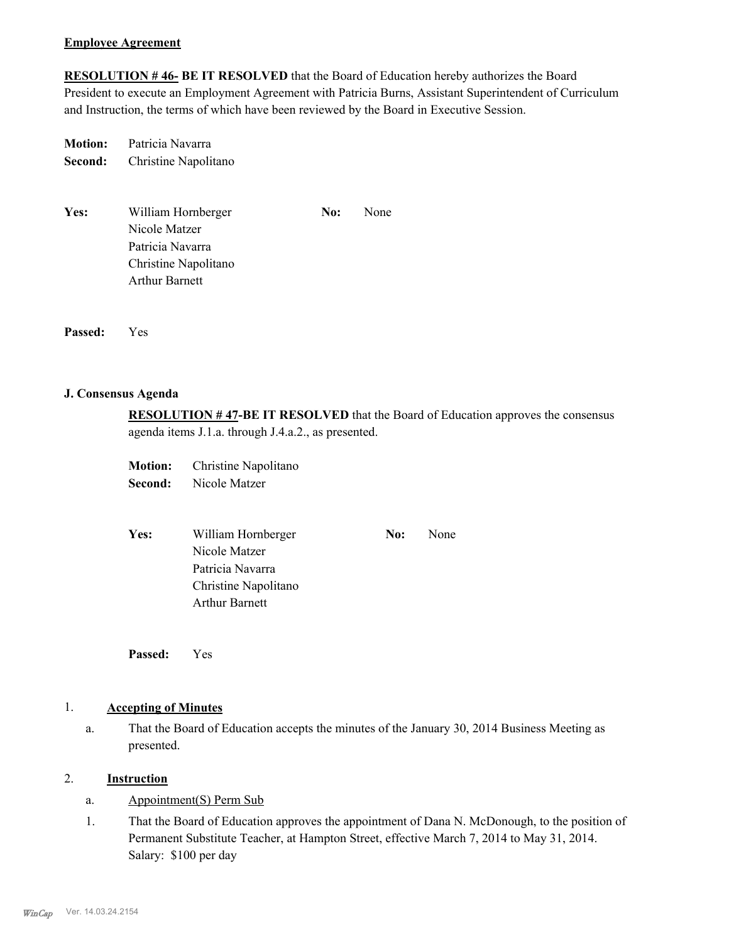#### **Employee Agreement**

**RESOLUTION # 46- BE IT RESOLVED** that the Board of Education hereby authorizes the Board President to execute an Employment Agreement with Patricia Burns, Assistant Superintendent of Curriculum and Instruction, the terms of which have been reviewed by the Board in Executive Session.

**Motion:** Patricia Navarra **Second:** Christine Napolitano

| Yes: | William Hornberger    | No: | None |
|------|-----------------------|-----|------|
|      | Nicole Matzer         |     |      |
|      | Patricia Navarra      |     |      |
|      | Christine Napolitano  |     |      |
|      | <b>Arthur Barnett</b> |     |      |
|      |                       |     |      |

**Passed:** Yes

#### **J. Consensus Agenda**

**RESOLUTION # 47-BE IT RESOLVED** that the Board of Education approves the consensus agenda items J.1.a. through J.4.a.2., as presented.

**Motion:** Christine Napolitano **Second:** Nicole Matzer

| <b>Yes:</b> | William Hornberger    | No: | None |
|-------------|-----------------------|-----|------|
|             | Nicole Matzer         |     |      |
|             | Patricia Navarra      |     |      |
|             | Christine Napolitano  |     |      |
|             | <b>Arthur Barnett</b> |     |      |
|             |                       |     |      |

**Passed:** Yes

# 1. **Accepting of Minutes**

That the Board of Education accepts the minutes of the January 30, 2014 Business Meeting as presented. a.

# 2. **Instruction**

- a. Appointment(S) Perm Sub
- That the Board of Education approves the appointment of Dana N. McDonough, to the position of Permanent Substitute Teacher, at Hampton Street, effective March 7, 2014 to May 31, 2014. Salary: \$100 per day 1.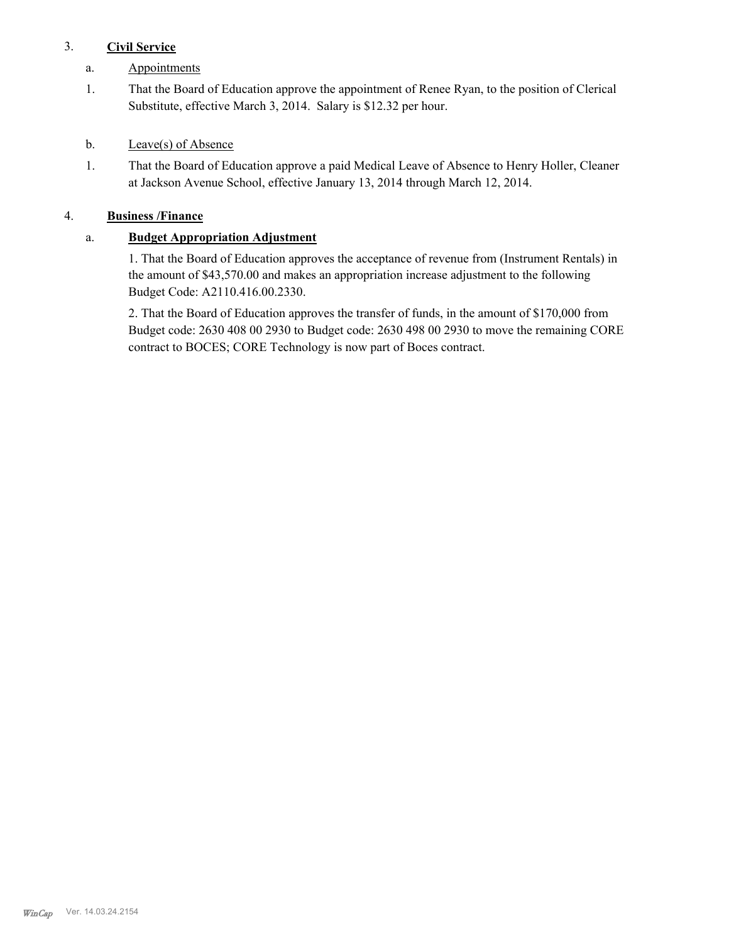# 3. **Civil Service**

- a. Appointments
- That the Board of Education approve the appointment of Renee Ryan, to the position of Clerical Substitute, effective March 3, 2014. Salary is \$12.32 per hour. 1.
- b. Leave(s) of Absence
- That the Board of Education approve a paid Medical Leave of Absence to Henry Holler, Cleaner at Jackson Avenue School, effective January 13, 2014 through March 12, 2014. 1.

# 4. **Business /Finance**

# a. **Budget Appropriation Adjustment**

1. That the Board of Education approves the acceptance of revenue from (Instrument Rentals) in the amount of \$43,570.00 and makes an appropriation increase adjustment to the following Budget Code: A2110.416.00.2330.

2. That the Board of Education approves the transfer of funds, in the amount of \$170,000 from Budget code: 2630 408 00 2930 to Budget code: 2630 498 00 2930 to move the remaining CORE contract to BOCES; CORE Technology is now part of Boces contract.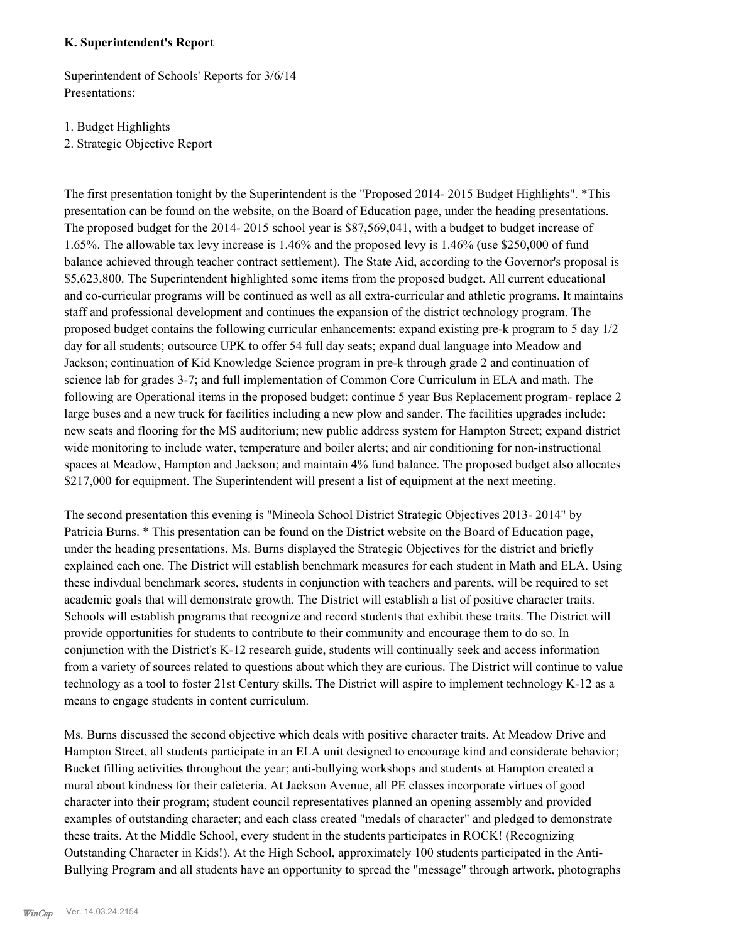#### **K. Superintendent's Report**

Superintendent of Schools' Reports for 3/6/14 Presentations:

1. Budget Highlights

2. Strategic Objective Report

The first presentation tonight by the Superintendent is the "Proposed 2014- 2015 Budget Highlights". \*This presentation can be found on the website, on the Board of Education page, under the heading presentations. The proposed budget for the 2014- 2015 school year is \$87,569,041, with a budget to budget increase of 1.65%. The allowable tax levy increase is 1.46% and the proposed levy is 1.46% (use \$250,000 of fund balance achieved through teacher contract settlement). The State Aid, according to the Governor's proposal is \$5,623,800. The Superintendent highlighted some items from the proposed budget. All current educational and co-curricular programs will be continued as well as all extra-curricular and athletic programs. It maintains staff and professional development and continues the expansion of the district technology program. The proposed budget contains the following curricular enhancements: expand existing pre-k program to 5 day 1/2 day for all students; outsource UPK to offer 54 full day seats; expand dual language into Meadow and Jackson; continuation of Kid Knowledge Science program in pre-k through grade 2 and continuation of science lab for grades 3-7; and full implementation of Common Core Curriculum in ELA and math. The following are Operational items in the proposed budget: continue 5 year Bus Replacement program- replace 2 large buses and a new truck for facilities including a new plow and sander. The facilities upgrades include: new seats and flooring for the MS auditorium; new public address system for Hampton Street; expand district wide monitoring to include water, temperature and boiler alerts; and air conditioning for non-instructional spaces at Meadow, Hampton and Jackson; and maintain 4% fund balance. The proposed budget also allocates \$217,000 for equipment. The Superintendent will present a list of equipment at the next meeting.

The second presentation this evening is "Mineola School District Strategic Objectives 2013- 2014" by Patricia Burns. \* This presentation can be found on the District website on the Board of Education page, under the heading presentations. Ms. Burns displayed the Strategic Objectives for the district and briefly explained each one. The District will establish benchmark measures for each student in Math and ELA. Using these indivdual benchmark scores, students in conjunction with teachers and parents, will be required to set academic goals that will demonstrate growth. The District will establish a list of positive character traits. Schools will establish programs that recognize and record students that exhibit these traits. The District will provide opportunities for students to contribute to their community and encourage them to do so. In conjunction with the District's K-12 research guide, students will continually seek and access information from a variety of sources related to questions about which they are curious. The District will continue to value technology as a tool to foster 21st Century skills. The District will aspire to implement technology K-12 as a means to engage students in content curriculum.

Ms. Burns discussed the second objective which deals with positive character traits. At Meadow Drive and Hampton Street, all students participate in an ELA unit designed to encourage kind and considerate behavior; Bucket filling activities throughout the year; anti-bullying workshops and students at Hampton created a mural about kindness for their cafeteria. At Jackson Avenue, all PE classes incorporate virtues of good character into their program; student council representatives planned an opening assembly and provided examples of outstanding character; and each class created "medals of character" and pledged to demonstrate these traits. At the Middle School, every student in the students participates in ROCK! (Recognizing Outstanding Character in Kids!). At the High School, approximately 100 students participated in the Anti-Bullying Program and all students have an opportunity to spread the "message" through artwork, photographs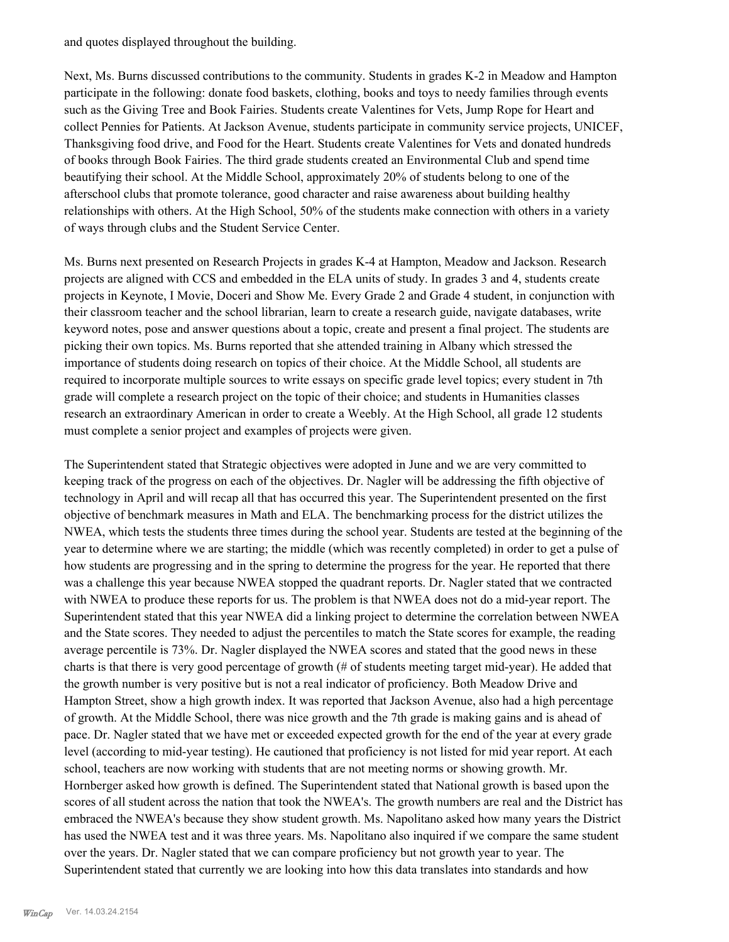and quotes displayed throughout the building.

Next, Ms. Burns discussed contributions to the community. Students in grades K-2 in Meadow and Hampton participate in the following: donate food baskets, clothing, books and toys to needy families through events such as the Giving Tree and Book Fairies. Students create Valentines for Vets, Jump Rope for Heart and collect Pennies for Patients. At Jackson Avenue, students participate in community service projects, UNICEF, Thanksgiving food drive, and Food for the Heart. Students create Valentines for Vets and donated hundreds of books through Book Fairies. The third grade students created an Environmental Club and spend time beautifying their school. At the Middle School, approximately 20% of students belong to one of the afterschool clubs that promote tolerance, good character and raise awareness about building healthy relationships with others. At the High School, 50% of the students make connection with others in a variety of ways through clubs and the Student Service Center.

Ms. Burns next presented on Research Projects in grades K-4 at Hampton, Meadow and Jackson. Research projects are aligned with CCS and embedded in the ELA units of study. In grades 3 and 4, students create projects in Keynote, I Movie, Doceri and Show Me. Every Grade 2 and Grade 4 student, in conjunction with their classroom teacher and the school librarian, learn to create a research guide, navigate databases, write keyword notes, pose and answer questions about a topic, create and present a final project. The students are picking their own topics. Ms. Burns reported that she attended training in Albany which stressed the importance of students doing research on topics of their choice. At the Middle School, all students are required to incorporate multiple sources to write essays on specific grade level topics; every student in 7th grade will complete a research project on the topic of their choice; and students in Humanities classes research an extraordinary American in order to create a Weebly. At the High School, all grade 12 students must complete a senior project and examples of projects were given.

The Superintendent stated that Strategic objectives were adopted in June and we are very committed to keeping track of the progress on each of the objectives. Dr. Nagler will be addressing the fifth objective of technology in April and will recap all that has occurred this year. The Superintendent presented on the first objective of benchmark measures in Math and ELA. The benchmarking process for the district utilizes the NWEA, which tests the students three times during the school year. Students are tested at the beginning of the year to determine where we are starting; the middle (which was recently completed) in order to get a pulse of how students are progressing and in the spring to determine the progress for the year. He reported that there was a challenge this year because NWEA stopped the quadrant reports. Dr. Nagler stated that we contracted with NWEA to produce these reports for us. The problem is that NWEA does not do a mid-year report. The Superintendent stated that this year NWEA did a linking project to determine the correlation between NWEA and the State scores. They needed to adjust the percentiles to match the State scores for example, the reading average percentile is 73%. Dr. Nagler displayed the NWEA scores and stated that the good news in these charts is that there is very good percentage of growth (# of students meeting target mid-year). He added that the growth number is very positive but is not a real indicator of proficiency. Both Meadow Drive and Hampton Street, show a high growth index. It was reported that Jackson Avenue, also had a high percentage of growth. At the Middle School, there was nice growth and the 7th grade is making gains and is ahead of pace. Dr. Nagler stated that we have met or exceeded expected growth for the end of the year at every grade level (according to mid-year testing). He cautioned that proficiency is not listed for mid year report. At each school, teachers are now working with students that are not meeting norms or showing growth. Mr. Hornberger asked how growth is defined. The Superintendent stated that National growth is based upon the scores of all student across the nation that took the NWEA's. The growth numbers are real and the District has embraced the NWEA's because they show student growth. Ms. Napolitano asked how many years the District has used the NWEA test and it was three years. Ms. Napolitano also inquired if we compare the same student over the years. Dr. Nagler stated that we can compare proficiency but not growth year to year. The Superintendent stated that currently we are looking into how this data translates into standards and how